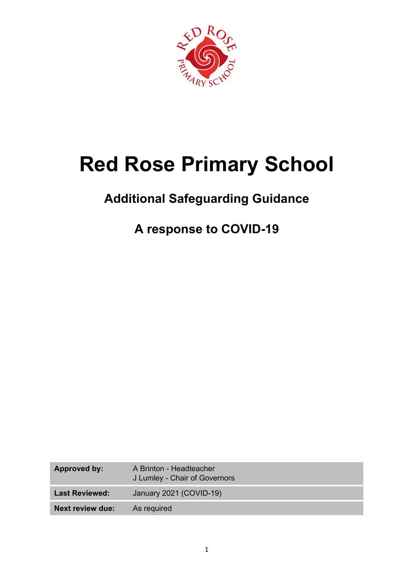

# **Red Rose Primary School**

# **Additional Safeguarding Guidance**

# **A response to COVID-19**

| Approved by:            | A Brinton - Headteacher<br>J Lumley - Chair of Governors |
|-------------------------|----------------------------------------------------------|
| <b>Last Reviewed:</b>   | January 2021 (COVID-19)                                  |
| <b>Next review due:</b> | As required                                              |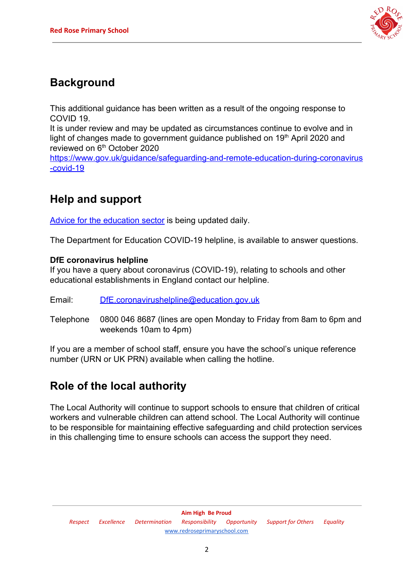

### **Background**

This additional guidance has been written as a result of the ongoing response to COVID 19.

It is under review and may be updated as circumstances continue to evolve and in light of changes made to government guidance published on 19<sup>th</sup> April 2020 and reviewed on 6<sup>th</sup> October 2020

[https://www.gov.uk/guidance/safeguarding-and-remote-education-during-coronavirus](https://www.gov.uk/guidance/safeguarding-and-remote-education-during-coronavirus-covid-19) [-covid-19](https://www.gov.uk/guidance/safeguarding-and-remote-education-during-coronavirus-covid-19)

## **Help and support**

[Advice for the education sector](https://www.gov.uk/government/collections/coronavirus-covid-19-guidance-for-schools-and-other-educational-settings) is being updated daily.

The Department for Education COVID-19 helpline, is available to answer questions.

#### **DfE coronavirus helpline**

If you have a query about coronavirus (COVID-19), relating to schools and other educational establishments in England contact our helpline.

Email: [DfE.coronavirushelpline@education.gov.uk](mailto:DfE.coronavirushelpline@education.gov.uk)

Telephone 0800 046 8687 (lines are open Monday to Friday from 8am to 6pm and weekends 10am to 4pm)

If you are a member of school staff, ensure you have the school's unique reference number (URN or UK PRN) available when calling the hotline.

#### **Role of the local authority**

The Local Authority will continue to support schools to ensure that children of critical workers and vulnerable children can attend school. The Local Authority will continue to be responsible for maintaining effective safeguarding and child protection services in this challenging time to ensure schools can access the support they need.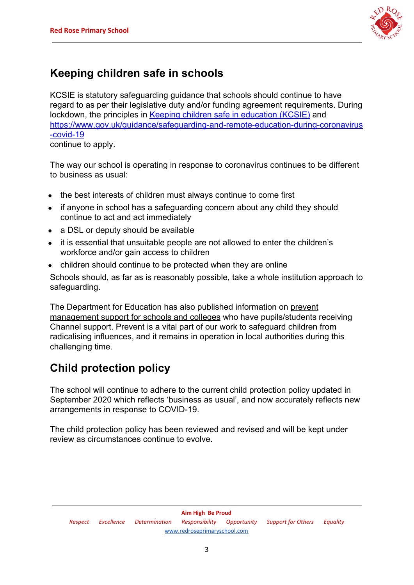

#### **Keeping children safe in schools**

KCSIE is statutory safeguarding guidance that schools should continue to have regard to as per their legislative duty and/or funding agreement requirements. During lockdown, the principles in [Keeping children safe in education \(KCSIE\)](https://www.gov.uk/government/publications/keeping-children-safe-in-education--2) and [https://www.gov.uk/guidance/safeguarding-and-remote-education-during-coronavirus](https://www.gov.uk/guidance/safeguarding-and-remote-education-during-coronavirus-covid-19) [-covid-19](https://www.gov.uk/guidance/safeguarding-and-remote-education-during-coronavirus-covid-19) continue to apply.

The way our school is operating in response to coronavirus continues to be different to business as usual:

- the best interests of children must always continue to come first
- if anyone in school has a safeguarding concern about any child they should continue to act and act immediately
- a DSL or deputy should be available
- it is essential that unsuitable people are not allowed to enter the children's workforce and/or gain access to children
- children should continue to be protected when they are online

Schools should, as far as is reasonably possible, take a whole institution approach to safeguarding.

The Department for Education has also published information on [prevent](https://educateagainsthate.com/blog/posts/school-closures-ongoing-prevent-management-support/) [management support for schools and colleges](https://educateagainsthate.com/blog/posts/school-closures-ongoing-prevent-management-support/) who have pupils/students receiving Channel support. Prevent is a vital part of our work to safeguard children from radicalising influences, and it remains in operation in local authorities during this challenging time.

#### **Child protection policy**

The school will continue to adhere to the current child protection policy updated in September 2020 which reflects 'business as usual', and now accurately reflects new arrangements in response to COVID-19.

The child protection policy has been reviewed and revised and will be kept under review as circumstances continue to evolve.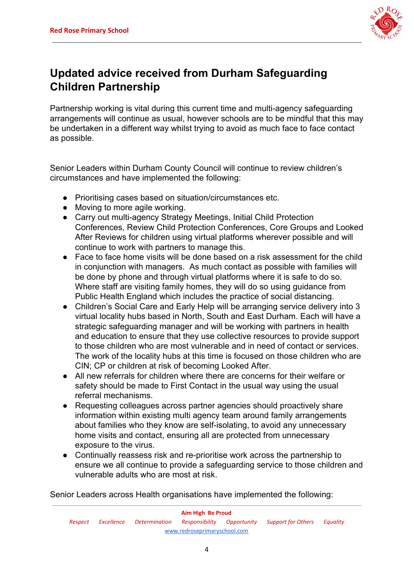

### **Updated advice received from Durham Safeguarding Children Partnership**

Partnership working is vital during this current time and multi-agency safeguarding arrangements will continue as usual, however schools are to be mindful that this may be undertaken in a different way whilst trying to avoid as much face to face contact as possible.

Senior Leaders within Durham County Council will continue to review children's circumstances and have implemented the following:

- Prioritising cases based on situation/circumstances etc.
- Moving to more agile working.
- Carry out multi-agency Strategy Meetings, Initial Child Protection Conferences, Review Child Protection Conferences, Core Groups and Looked After Reviews for children using virtual platforms wherever possible and will continue to work with partners to manage this.
- Face to face home visits will be done based on a risk assessment for the child in conjunction with managers. As much contact as possible with families will be done by phone and through virtual platforms where it is safe to do so. Where staff are visiting family homes, they will do so using guidance from Public Health England which includes the practice of social distancing.
- Children's Social Care and Early Help will be arranging service delivery into 3 virtual locality hubs based in North, South and East Durham. Each will have a strategic safeguarding manager and will be working with partners in health and education to ensure that they use collective resources to provide support to those children who are most vulnerable and in need of contact or services. The work of the locality hubs at this time is focused on those children who are CIN; CP or children at risk of becoming Looked After.
- All new referrals for children where there are concerns for their welfare or safety should be made to First Contact in the usual way using the usual referral mechanisms.
- Requesting colleagues across partner agencies should proactively share information within existing multi agency team around family arrangements about families who they know are self-isolating, to avoid any unnecessary home visits and contact, ensuring all are protected from unnecessary exposure to the virus.
- Continually reassess risk and re-prioritise work across the partnership to ensure we all continue to provide a safeguarding service to those children and vulnerable adults who are most at risk.

Senior Leaders across Health organisations have implemented the following: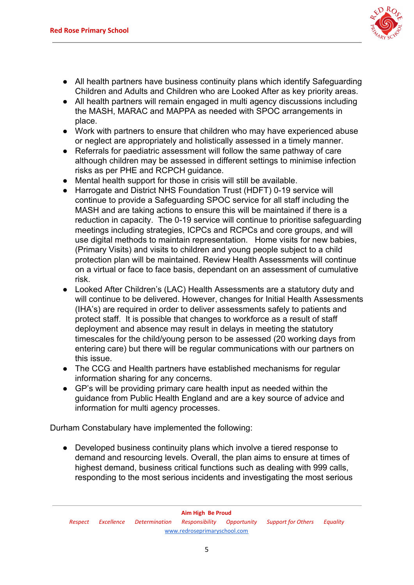

- All health partners have business continuity plans which identify Safeguarding Children and Adults and Children who are Looked After as key priority areas.
- All health partners will remain engaged in multi agency discussions including the MASH, MARAC and MAPPA as needed with SPOC arrangements in place.
- Work with partners to ensure that children who may have experienced abuse or neglect are appropriately and holistically assessed in a timely manner.
- Referrals for paediatric assessment will follow the same pathway of care although children may be assessed in different settings to minimise infection risks as per PHE and RCPCH guidance.
- Mental health support for those in crisis will still be available.
- Harrogate and District NHS Foundation Trust (HDFT) 0-19 service will continue to provide a Safeguarding SPOC service for all staff including the MASH and are taking actions to ensure this will be maintained if there is a reduction in capacity. The 0-19 service will continue to prioritise safeguarding meetings including strategies, ICPCs and RCPCs and core groups, and will use digital methods to maintain representation. Home visits for new babies, (Primary Visits) and visits to children and young people subject to a child protection plan will be maintained. Review Health Assessments will continue on a virtual or face to face basis, dependant on an assessment of cumulative risk.
- Looked After Children's (LAC) Health Assessments are a statutory duty and will continue to be delivered. However, changes for Initial Health Assessments (IHA's) are required in order to deliver assessments safely to patients and protect staff. It is possible that changes to workforce as a result of staff deployment and absence may result in delays in meeting the statutory timescales for the child/young person to be assessed (20 working days from entering care) but there will be regular communications with our partners on this issue.
- The CCG and Health partners have established mechanisms for regular information sharing for any concerns.
- GP's will be providing primary care health input as needed within the guidance from Public Health England and are a key source of advice and information for multi agency processes.

Durham Constabulary have implemented the following:

● Developed business continuity plans which involve a tiered response to demand and resourcing levels. Overall, the plan aims to ensure at times of highest demand, business critical functions such as dealing with 999 calls, responding to the most serious incidents and investigating the most serious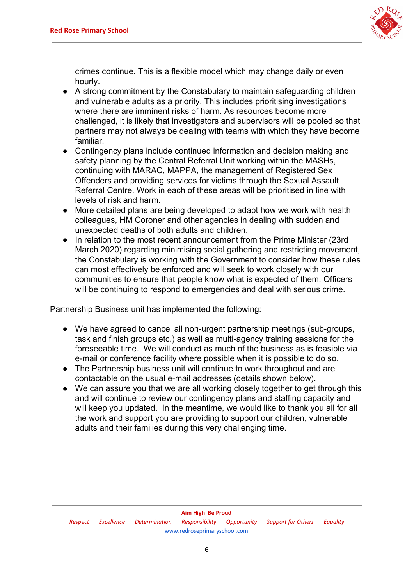

crimes continue. This is a flexible model which may change daily or even hourly.

- A strong commitment by the Constabulary to maintain safeguarding children and vulnerable adults as a priority. This includes prioritising investigations where there are imminent risks of harm. As resources become more challenged, it is likely that investigators and supervisors will be pooled so that partners may not always be dealing with teams with which they have become familiar.
- Contingency plans include continued information and decision making and safety planning by the Central Referral Unit working within the MASHs, continuing with MARAC, MAPPA, the management of Registered Sex Offenders and providing services for victims through the Sexual Assault Referral Centre. Work in each of these areas will be prioritised in line with levels of risk and harm.
- More detailed plans are being developed to adapt how we work with health colleagues, HM Coroner and other agencies in dealing with sudden and unexpected deaths of both adults and children.
- In relation to the most recent announcement from the Prime Minister (23rd) March 2020) regarding minimising social gathering and restricting movement, the Constabulary is working with the Government to consider how these rules can most effectively be enforced and will seek to work closely with our communities to ensure that people know what is expected of them. Officers will be continuing to respond to emergencies and deal with serious crime.

Partnership Business unit has implemented the following:

- We have agreed to cancel all non-urgent partnership meetings (sub-groups, task and finish groups etc.) as well as multi-agency training sessions for the foreseeable time. We will conduct as much of the business as is feasible via e-mail or conference facility where possible when it is possible to do so.
- The Partnership business unit will continue to work throughout and are contactable on the usual e-mail addresses (details shown below).
- We can assure you that we are all working closely together to get through this and will continue to review our contingency plans and staffing capacity and will keep you updated. In the meantime, we would like to thank you all for all the work and support you are providing to support our children, vulnerable adults and their families during this very challenging time.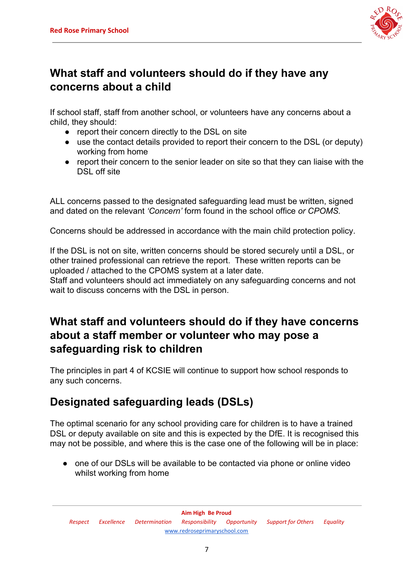

#### **What staff and volunteers should do if they have any concerns about a child**

If school staff, staff from another school, or volunteers have any concerns about a child, they should:

- report their concern directly to the DSL on site
- use the contact details provided to report their concern to the DSL (or deputy) working from home
- report their concern to the senior leader on site so that they can liaise with the DSL off site

ALL concerns passed to the designated safeguarding lead must be written, signed and dated on the relevant *'Concern'* form found in the school office *or CPOMS.*

Concerns should be addressed in accordance with the main child protection policy.

If the DSL is not on site, written concerns should be stored securely until a DSL, or other trained professional can retrieve the report. These written reports can be uploaded / attached to the CPOMS system at a later date.

Staff and volunteers should act immediately on any safeguarding concerns and not wait to discuss concerns with the DSL in person.

#### **What staff and volunteers should do if they have concerns about a staff member or volunteer who may pose a safeguarding risk to children**

The principles in part 4 of KCSIE will continue to support how school responds to any such concerns.

#### **Designated safeguarding leads (DSLs)**

The optimal scenario for any school providing care for children is to have a trained DSL or deputy available on site and this is expected by the DfE. It is recognised this may not be possible, and where this is the case one of the following will be in place:

• one of our DSLs will be available to be contacted via phone or online video whilst working from home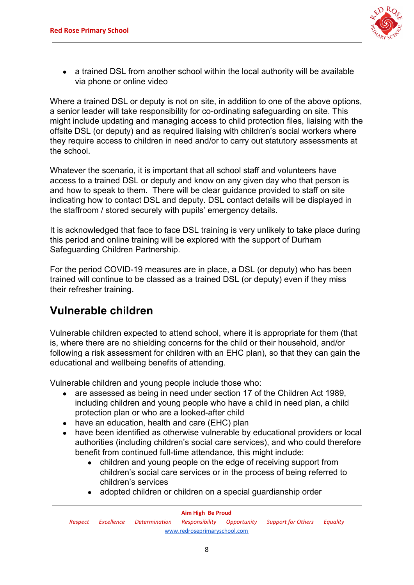

• a trained DSL from another school within the local authority will be available via phone or online video

Where a trained DSL or deputy is not on site, in addition to one of the above options, a senior leader will take responsibility for co-ordinating safeguarding on site. This might include updating and managing access to child protection files, liaising with the offsite DSL (or deputy) and as required liaising with children's social workers where they require access to children in need and/or to carry out statutory assessments at the school.

Whatever the scenario, it is important that all school staff and volunteers have access to a trained DSL or deputy and know on any given day who that person is and how to speak to them. There will be clear guidance provided to staff on site indicating how to contact DSL and deputy. DSL contact details will be displayed in the staffroom / stored securely with pupils' emergency details.

It is acknowledged that face to face DSL training is very unlikely to take place during this period and online training will be explored with the support of Durham Safeguarding Children Partnership.

For the period COVID-19 measures are in place, a DSL (or deputy) who has been trained will continue to be classed as a trained DSL (or deputy) even if they miss their refresher training.

#### **Vulnerable children**

Vulnerable children expected to attend school, where it is appropriate for them (that is, where there are no shielding concerns for the child or their household, and/or following a risk assessment for children with an EHC plan), so that they can gain the educational and wellbeing benefits of attending.

Vulnerable children and young people include those who:

- are assessed as being in need under section 17 of the Children Act 1989, including children and young people who have a child in need plan, a child protection plan or who are a looked-after child
- have an education, health and care (EHC) plan
- have been identified as otherwise vulnerable by educational providers or local authorities (including children's social care services), and who could therefore benefit from continued full-time attendance, this might include:
	- children and young people on the edge of receiving support from children's social care services or in the process of being referred to children's services
	- adopted children or children on a special guardianship order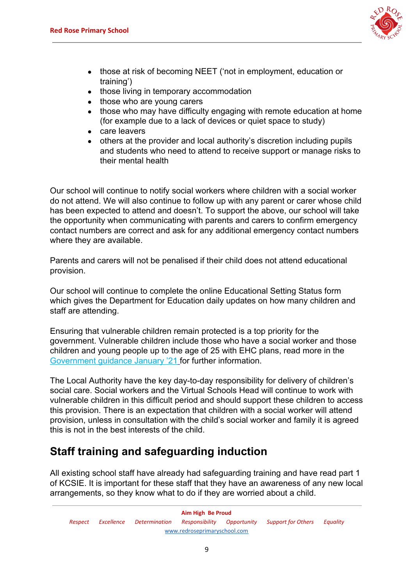

- those at risk of becoming NEET ('not in employment, education or training')
- those living in temporary accommodation
- those who are young carers
- those who may have difficulty engaging with remote education at home (for example due to a lack of devices or quiet space to study)
- care leavers
- others at the provider and local authority's discretion including pupils and students who need to attend to receive support or manage risks to their mental health

Our school will continue to notify social workers where children with a social worker do not attend. We will also continue to follow up with any parent or carer whose child has been expected to attend and doesn't. To support the above, our school will take the opportunity when communicating with parents and carers to confirm emergency contact numbers are correct and ask for any additional emergency contact numbers where they are available.

Parents and carers will not be penalised if their child does not attend educational provision.

Our school will continue to complete the online Educational Setting Status form which gives the Department for Education daily updates on how many children and staff are attending.

Ensuring that vulnerable children remain protected is a top priority for the government. Vulnerable children include those who have a social worker and those children and young people up to the age of 25 with EHC plans, read more in the [Government guidance January '21](https://www.gov.uk/government/publications/coronavirus-covid-19-maintaining-educational-provision/guidance-for-schools-colleges-and-local-authorities-on-maintaining-educational-provision) for further information.

The Local Authority have the key day-to-day responsibility for delivery of children's social care. Social workers and the Virtual Schools Head will continue to work with vulnerable children in this difficult period and should support these children to access this provision. There is an expectation that children with a social worker will attend provision, unless in consultation with the child's social worker and family it is agreed this is not in the best interests of the child.

## **Staff training and safeguarding induction**

All existing school staff have already had safeguarding training and have read part 1 of KCSIE. It is important for these staff that they have an awareness of any new local arrangements, so they know what to do if they are worried about a child.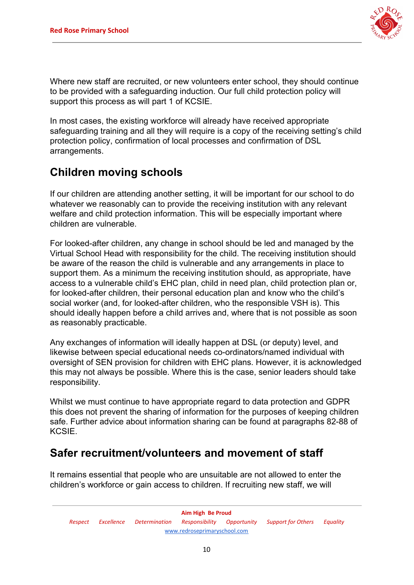

Where new staff are recruited, or new volunteers enter school, they should continue to be provided with a safeguarding induction. Our full child protection policy will support this process as will part 1 of KCSIE.

In most cases, the existing workforce will already have received appropriate safeguarding training and all they will require is a copy of the receiving setting's child protection policy, confirmation of local processes and confirmation of DSL arrangements.

#### **Children moving schools**

If our children are attending another setting, it will be important for our school to do whatever we reasonably can to provide the receiving institution with any relevant welfare and child protection information. This will be especially important where children are vulnerable.

For looked-after children, any change in school should be led and managed by the Virtual School Head with responsibility for the child. The receiving institution should be aware of the reason the child is vulnerable and any arrangements in place to support them. As a minimum the receiving institution should, as appropriate, have access to a vulnerable child's EHC plan, child in need plan, child protection plan or, for looked-after children, their personal education plan and know who the child's social worker (and, for looked-after children, who the responsible VSH is). This should ideally happen before a child arrives and, where that is not possible as soon as reasonably practicable.

Any exchanges of information will ideally happen at DSL (or deputy) level, and likewise between special educational needs co-ordinators/named individual with oversight of SEN provision for children with EHC plans. However, it is acknowledged this may not always be possible. Where this is the case, senior leaders should take responsibility.

Whilst we must continue to have appropriate regard to data protection and GDPR this does not prevent the sharing of information for the purposes of keeping children safe. Further advice about information sharing can be found at paragraphs 82-88 of KCSIE.

#### **Safer recruitment/volunteers and movement of staff**

It remains essential that people who are unsuitable are not allowed to enter the children's workforce or gain access to children. If recruiting new staff, we will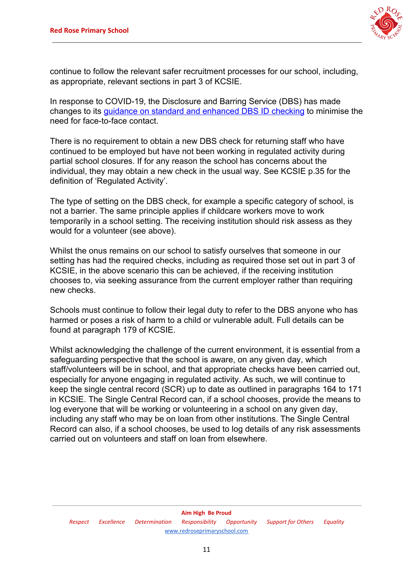

continue to follow the relevant safer recruitment processes for our school, including, as appropriate, relevant sections in part 3 of KCSIE.

In response to COVID-19, the Disclosure and Barring Service (DBS) has made changes to its [guidance on standard and enhanced DBS ID checking](https://www.gov.uk/government/news/covid-19-changes-to-standard-and-enhanced-id-checking-guidelines) to minimise the need for face-to-face contact.

There is no requirement to obtain a new DBS check for returning staff who have continued to be employed but have not been working in regulated activity during partial school closures. If for any reason the school has concerns about the individual, they may obtain a new check in the usual way. See KCSIE p.35 for the definition of 'Regulated Activity'.

The type of setting on the DBS check, for example a specific category of school, is not a barrier. The same principle applies if childcare workers move to work temporarily in a school setting. The receiving institution should risk assess as they would for a volunteer (see above).

Whilst the onus remains on our school to satisfy ourselves that someone in our setting has had the required checks, including as required those set out in part 3 of KCSIE, in the above scenario this can be achieved, if the receiving institution chooses to, via seeking assurance from the current employer rather than requiring new checks.

Schools must continue to follow their legal duty to refer to the DBS anyone who has harmed or poses a risk of harm to a child or vulnerable adult. Full details can be found at paragraph 179 of KCSIE.

Whilst acknowledging the challenge of the current environment, it is essential from a safeguarding perspective that the school is aware, on any given day, which staff/volunteers will be in school, and that appropriate checks have been carried out, especially for anyone engaging in regulated activity. As such, we will continue to keep the single central record (SCR) up to date as outlined in paragraphs 164 to 171 in KCSIE. The Single Central Record can, if a school chooses, provide the means to log everyone that will be working or volunteering in a school on any given day, including any staff who may be on loan from other institutions. The Single Central Record can also, if a school chooses, be used to log details of any risk assessments carried out on volunteers and staff on loan from elsewhere.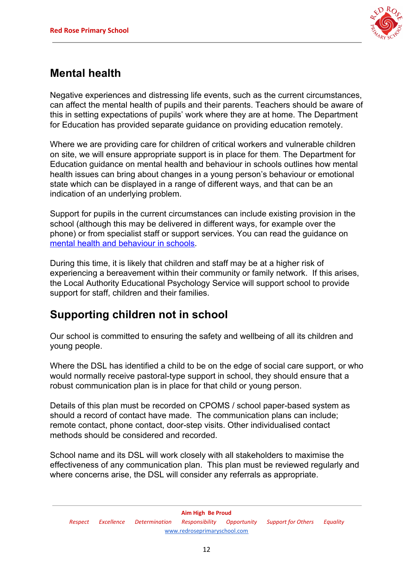

#### **Mental health**

Negative experiences and distressing life events, such as the current circumstances, can affect the mental health of pupils and their parents. Teachers should be aware of this in setting expectations of pupils' work where they are at home. The Department for Education has provided separate guidance on providing education remotely.

Where we are providing care for children of critical workers and vulnerable children on site, we will ensure appropriate support is in place for them. The Department for Education guidance on mental health and behaviour in schools outlines how mental health issues can bring about changes in a young person's behaviour or emotional state which can be displayed in a range of different ways, and that can be an indication of an underlying problem.

Support for pupils in the current circumstances can include existing provision in the school (although this may be delivered in different ways, for example over the phone) or from specialist staff or support services. You can read the guidance on [mental health and behaviour in schools.](https://www.gov.uk/government/publications/mental-health-and-behaviour-in-schools--2)

During this time, it is likely that children and staff may be at a higher risk of experiencing a bereavement within their community or family network. If this arises, the Local Authority Educational Psychology Service will support school to provide support for staff, children and their families.

#### **Supporting children not in school**

Our school is committed to ensuring the safety and wellbeing of all its children and young people.

Where the DSL has identified a child to be on the edge of social care support, or who would normally receive pastoral-type support in school, they should ensure that a robust communication plan is in place for that child or young person.

Details of this plan must be recorded on CPOMS / school paper-based system as should a record of contact have made. The communication plans can include; remote contact, phone contact, door-step visits. Other individualised contact methods should be considered and recorded.

School name and its DSL will work closely with all stakeholders to maximise the effectiveness of any communication plan. This plan must be reviewed regularly and where concerns arise, the DSL will consider any referrals as appropriate.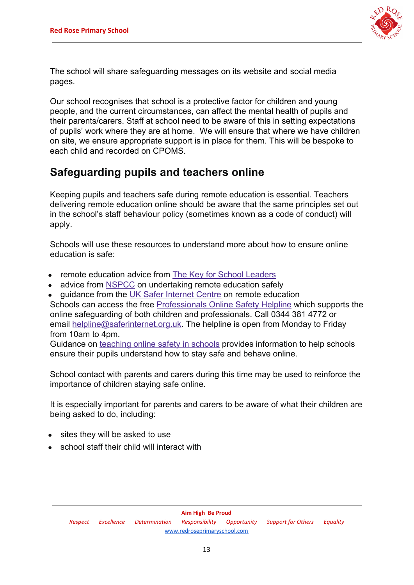

The school will share safeguarding messages on its website and social media pages.

Our school recognises that school is a protective factor for children and young people, and the current circumstances, can affect the mental health of pupils and their parents/carers. Staff at school need to be aware of this in setting expectations of pupils' work where they are at home. We will ensure that where we have children on site, we ensure appropriate support is in place for them. This will be bespoke to each child and recorded on CPOMS.

#### **Safeguarding pupils and teachers online**

Keeping pupils and teachers safe during remote education is essential. Teachers delivering remote education online should be aware that the same principles set out in the school's staff behaviour policy (sometimes known as a code of conduct) will apply.

Schools will use these resources to understand more about how to ensure online education is safe:

- remote education advice from [The Key for School Leaders](https://schoolleaders.thekeysupport.com/covid-19/safeguard-and-support-pupils/safeguarding-while-teaching/remote-teaching-safeguarding-pupils-and-staff/?marker=content-body)
- advice from [NSPCC](https://learning.nspcc.org.uk/news/2020/march/undertaking-remote-teaching-safely) on undertaking remote education safely
- guidance from the [UK Safer Internet Centre](https://swgfl.org.uk/resources/safe-remote-learning/) on remote education

Schools can access the free [Professionals Online Safety Helpline](https://swgfl.org.uk/services/professionals-online-safety-helpline/#contact) which supports the online safeguarding of both children and professionals. Call 0344 381 4772 or email [helpline@saferinternet.org.uk](mailto:helpline@saferinternet.org.uk). The helpline is open from Monday to Friday from 10am to 4pm.

Guidance on [teaching online safety in schools](https://www.gov.uk/government/publications/teaching-online-safety-in-schools) provides information to help schools ensure their pupils understand how to stay safe and behave online.

School contact with parents and carers during this time may be used to reinforce the importance of children staying safe online.

It is especially important for parents and carers to be aware of what their children are being asked to do, including:

- sites they will be asked to use
- school staff their child will interact with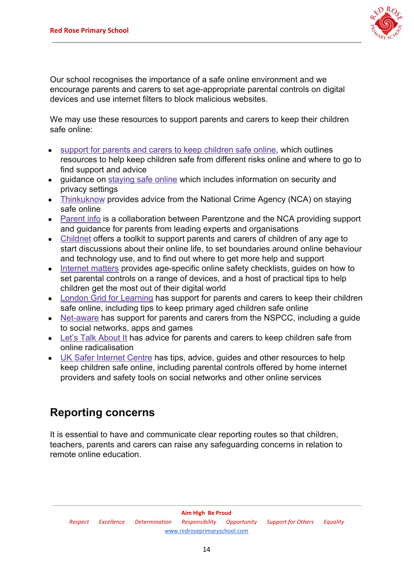

Our school recognises the importance of a safe online environment and we encourage parents and carers to set age-appropriate parental controls on digital devices and use internet filters to block malicious websites.

We may use these resources to support parents and carers to keep their children safe online:

- [support for parents and carers to keep children safe online,](https://www.gov.uk/government/publications/coronavirus-covid-19-keeping-children-safe-online/coronavirus-covid-19-support-for-parents-and-carers-to-keep-children-safe-online) which outlines resources to help keep children safe from different risks online and where to go to find support and advice
- quidance on [staying safe online](https://www.gov.uk/guidance/covid-19-staying-safe-online) which includes information on security and privacy settings
- [Thinkuknow](https://www.thinkuknow.co.uk/) provides advice from the National Crime Agency (NCA) on staying safe online
- [Parent info](https://parentinfo.org/) is a collaboration between Parentzone and the NCA providing support and guidance for parents from leading experts and organisations
- [Childnet](https://www.childnet.com/parents-and-carers/parent-and-carer-toolkit) offers a toolkit to support parents and carers of children of any age to start discussions about their online life, to set boundaries around online behaviour and technology use, and to find out where to get more help and support
- [Internet matters](https://www.internetmatters.org/?gclid=EAIaIQobChMIktuA5LWK2wIVRYXVCh2afg2aEAAYASAAEgIJ5vD_BwE) provides age-specific online safety checklists, quides on how to set parental controls on a range of devices, and a host of practical tips to help children get the most out of their digital world
- [London Grid for Learning](https://www.lgfl.net/online-safety/) has support for parents and carers to keep their children safe online, including tips to keep primary aged children safe online
- [Net-aware](https://www.net-aware.org.uk/) has support for parents and carers from the NSPCC, including a guide to social networks, apps and games
- [Let's Talk About It](https://www.ltai.info/staying-safe-online/) has advice for parents and carers to keep children safe from online radicalisation
- [UK Safer Internet Centre](https://www.saferinternet.org.uk/advice-centre/parents-and-carers) has tips, advice, guides and other resources to help keep children safe online, including parental controls offered by home internet providers and safety tools on social networks and other online services

#### **Reporting concerns**

It is essential to have and communicate clear reporting routes so that children, teachers, parents and carers can raise any safeguarding concerns in relation to remote online education.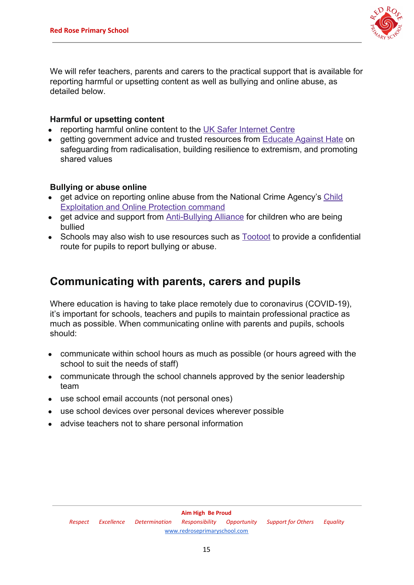

We will refer teachers, parents and carers to the practical support that is available for reporting harmful or upsetting content as well as bullying and online abuse, as detailed below.

#### **Harmful or upsetting content**

- reporting harmful online content to the [UK Safer Internet Centre](https://reportharmfulcontent.com/)
- getting government advice and trusted resources from [Educate Against Hate](https://educateagainsthate.com/) on safeguarding from radicalisation, building resilience to extremism, and promoting shared values

#### **Bullying or abuse online**

- get advice on reporting online abuse from the National Crime Agency's [Child](https://www.ceop.police.uk/safety-centre/) [Exploitation and Online Protection command](https://www.ceop.police.uk/safety-centre/)
- get advice and support from [Anti-Bullying Alliance](https://www.anti-bullyingalliance.org.uk/tools-information/if-youre-being-bullied) for children who are being bullied
- Schools may also wish to use resources such as **Tootoot** to provide a confidential route for pupils to report bullying or abuse.

#### **Communicating with parents, carers and pupils**

Where education is having to take place remotely due to coronavirus (COVID-19), it's important for schools, teachers and pupils to maintain professional practice as much as possible. When communicating online with parents and pupils, schools should:

- communicate within school hours as much as possible (or hours agreed with the school to suit the needs of staff)
- communicate through the school channels approved by the senior leadership team
- use school email accounts (not personal ones)
- use school devices over personal devices wherever possible
- advise teachers not to share personal information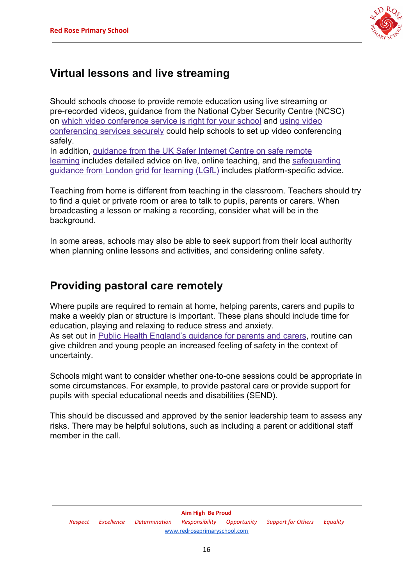

#### **Virtual lessons and live streaming**

Should schools choose to provide remote education using live streaming or pre-recorded videos, guidance from the National Cyber Security Centre (NCSC) on [which video conference service is right for your school](https://www.ncsc.gov.uk/guidance/video-conferencing-services-security-guidance-organisations) and [using video](https://www.ncsc.gov.uk/guidance/video-conferencing-services-using-them-securely) [conferencing services securely](https://www.ncsc.gov.uk/guidance/video-conferencing-services-using-them-securely) could help schools to set up video conferencing safely.

In addition, [guidance from the UK Safer Internet Centre on safe remote](https://swgfl.org.uk/resources/safe-remote-learning/) [learning](https://swgfl.org.uk/resources/safe-remote-learning/) includes detailed advice on live, online teaching, and the [safeguarding](https://coronavirus.lgfl.net/safeguarding) [guidance from London grid for learning \(LGfL\)](https://coronavirus.lgfl.net/safeguarding) includes platform-specific advice.

Teaching from home is different from teaching in the classroom. Teachers should try to find a quiet or private room or area to talk to pupils, parents or carers. When broadcasting a lesson or making a recording, consider what will be in the background.

In some areas, schools may also be able to seek support from their local authority when planning online lessons and activities, and considering online safety.

#### **Providing pastoral care remotely**

Where pupils are required to remain at home, helping parents, carers and pupils to make a weekly plan or structure is important. These plans should include time for education, playing and relaxing to reduce stress and anxiety. As set out in **Public Health England's guidance for parents and carers**, routine can give children and young people an increased feeling of safety in the context of uncertainty.

Schools might want to consider whether one-to-one sessions could be appropriate in some circumstances. For example, to provide pastoral care or provide support for pupils with special educational needs and disabilities (SEND).

This should be discussed and approved by the senior leadership team to assess any risks. There may be helpful solutions, such as including a parent or additional staff member in the call.